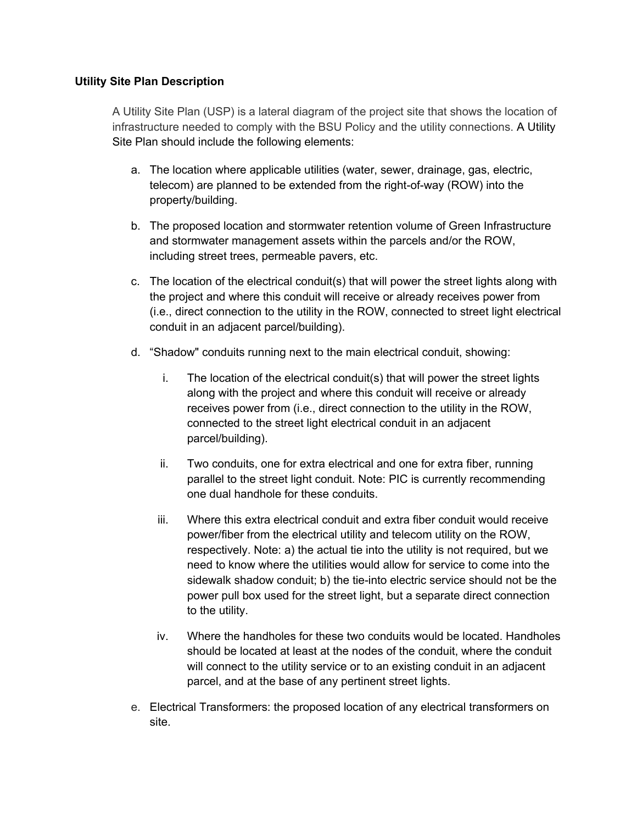## **Utility Site Plan Description**

A Utility Site Plan (USP) is a lateral diagram of the project site that shows the location of infrastructure needed to comply with the BSU Policy and the utility connections. A Utility Site Plan should include the following elements:

- a. The location where applicable utilities (water, sewer, drainage, gas, electric, telecom) are planned to be extended from the right-of-way (ROW) into the property/building.
- b. The proposed location and stormwater retention volume of Green Infrastructure and stormwater management assets within the parcels and/or the ROW, including street trees, permeable pavers, etc.
- c. The location of the electrical conduit(s) that will power the street lights along with the project and where this conduit will receive or already receives power from (i.e., direct connection to the utility in the ROW, connected to street light electrical conduit in an adjacent parcel/building).
- d. "Shadow" conduits running next to the main electrical conduit, showing:
	- i. The location of the electrical conduit(s) that will power the street lights along with the project and where this conduit will receive or already receives power from (i.e., direct connection to the utility in the ROW, connected to the street light electrical conduit in an adjacent parcel/building).
	- ii. Two conduits, one for extra electrical and one for extra fiber, running parallel to the street light conduit. Note: PIC is currently recommending one dual handhole for these conduits.
	- iii. Where this extra electrical conduit and extra fiber conduit would receive power/fiber from the electrical utility and telecom utility on the ROW, respectively. Note: a) the actual tie into the utility is not required, but we need to know where the utilities would allow for service to come into the sidewalk shadow conduit; b) the tie-into electric service should not be the power pull box used for the street light, but a separate direct connection to the utility.
	- iv. Where the handholes for these two conduits would be located. Handholes should be located at least at the nodes of the conduit, where the conduit will connect to the utility service or to an existing conduit in an adjacent parcel, and at the base of any pertinent street lights.
- e. Electrical Transformers: the proposed location of any electrical transformers on site.